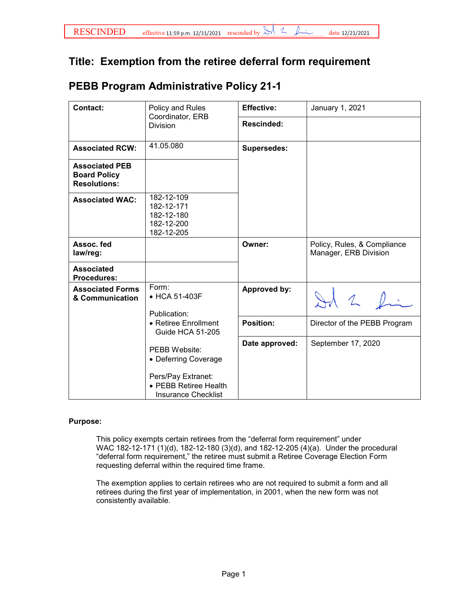## **Title: Exemption from the retiree deferral form requirement**

## **PEBB Program Administrative Policy 21-1**

| Contact:                                                            | Policy and Rules<br>Coordinator, ERB<br><b>Division</b>                                                                   | <b>Effective:</b>  | January 1, 2021                                      |
|---------------------------------------------------------------------|---------------------------------------------------------------------------------------------------------------------------|--------------------|------------------------------------------------------|
|                                                                     |                                                                                                                           | <b>Rescinded:</b>  |                                                      |
| <b>Associated RCW:</b>                                              | 41.05.080                                                                                                                 | <b>Supersedes:</b> |                                                      |
| <b>Associated PEB</b><br><b>Board Policy</b><br><b>Resolutions:</b> |                                                                                                                           |                    |                                                      |
| <b>Associated WAC:</b>                                              | 182-12-109<br>182-12-171<br>182-12-180<br>182-12-200<br>182-12-205                                                        |                    |                                                      |
| Assoc. fed<br>law/reg:                                              |                                                                                                                           | Owner:             | Policy, Rules, & Compliance<br>Manager, ERB Division |
| <b>Associated</b><br><b>Procedures:</b>                             |                                                                                                                           |                    |                                                      |
| <b>Associated Forms</b><br>& Communication                          | Form:<br>• HCA 51-403F<br>Publication:                                                                                    | Approved by:       | 20                                                   |
|                                                                     | • Retiree Enrollment<br>Guide HCA 51-205                                                                                  | <b>Position:</b>   | Director of the PEBB Program                         |
|                                                                     | <b>PEBB Website:</b><br>• Deferring Coverage<br>Pers/Pay Extranet:<br>• PEBB Retiree Health<br><b>Insurance Checklist</b> | Date approved:     | September 17, 2020                                   |

## **Purpose:**

This policy exempts certain retirees from the "deferral form requirement" under WAC 182-12-171 (1)(d), 182-12-180 (3)(d), and 182-12-205 (4)(a). Under the procedural "deferral form requirement," the retiree must submit a Retiree Coverage Election Form requesting deferral within the required time frame.

The exemption applies to certain retirees who are not required to submit a form and all retirees during the first year of implementation, in 2001, when the new form was not consistently available.